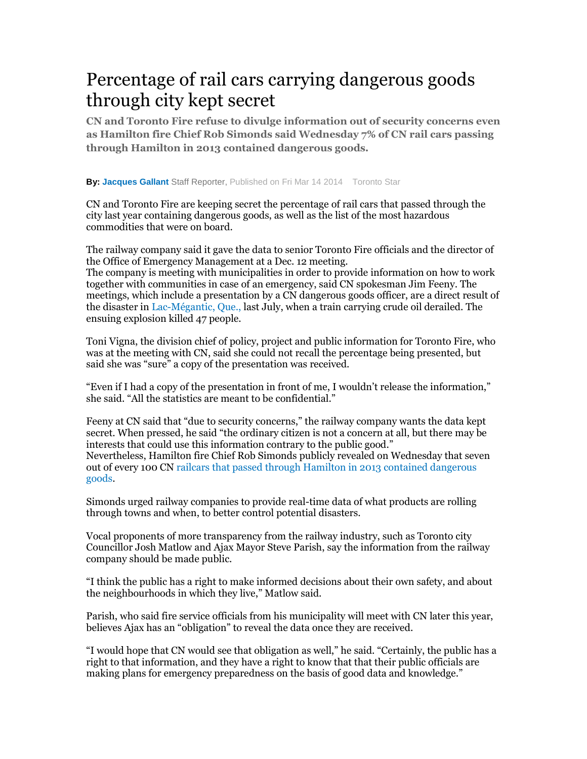## Percentage of rail cars carrying dangerous goods through city kept secret

**CN and Toronto Fire refuse to divulge information out of security concerns even as Hamilton fire Chief Rob Simonds said Wednesday 7% of CN rail cars passing through Hamilton in 2013 contained dangerous goods.**

## **By: Jacques Gallant** Staff Reporter, Published on Fri Mar 14 2014 Toronto Star

CN and Toronto Fire are keeping secret the percentage of rail cars that passed through the city last year containing dangerous goods, as well as the list of the most hazardous commodities that were on board.

The railway company said it gave the data to senior Toronto Fire officials and the director of the Office of Emergency Management at a Dec. 12 meeting. The company is meeting with municipalities in order to provide information on how to work together with communities in case of an emergency, said CN spokesman Jim Feeny. The meetings, which include a presentation by a CN dangerous goods officer, are a direct result of the disaster in Lac-Mégantic, Que., last July, when a train carrying crude oil derailed. The ensuing explosion killed 47 people.

Toni Vigna, the division chief of policy, project and public information for Toronto Fire, who was at the meeting with CN, said she could not recall the percentage being presented, but said she was "sure" a copy of the presentation was received.

"Even if I had a copy of the presentation in front of me, I wouldn't release the information," she said. "All the statistics are meant to be confidential."

Feeny at CN said that "due to security concerns," the railway company wants the data kept secret. When pressed, he said "the ordinary citizen is not a concern at all, but there may be interests that could use this information contrary to the public good." Nevertheless, Hamilton fire Chief Rob Simonds publicly revealed on Wednesday that seven out of every 100 CN railcars that passed through Hamilton in 2013 contained dangerous goods.

Simonds urged railway companies to provide real-time data of what products are rolling through towns and when, to better control potential disasters.

Vocal proponents of more transparency from the railway industry, such as Toronto city Councillor Josh Matlow and Ajax Mayor Steve Parish, say the information from the railway company should be made public.

"I think the public has a right to make informed decisions about their own safety, and about the neighbourhoods in which they live," Matlow said.

Parish, who said fire service officials from his municipality will meet with CN later this year, believes Ajax has an "obligation" to reveal the data once they are received.

"I would hope that CN would see that obligation as well," he said. "Certainly, the public has a right to that information, and they have a right to know that that their public officials are making plans for emergency preparedness on the basis of good data and knowledge."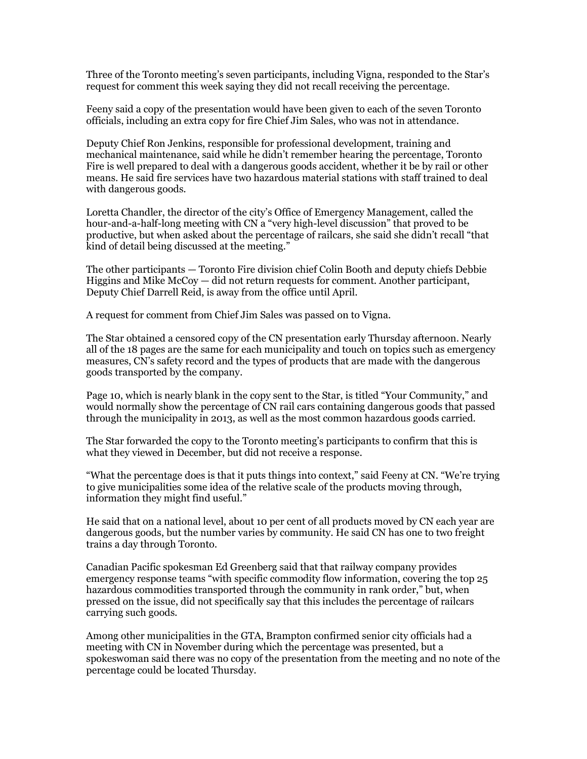Three of the Toronto meeting's seven participants, including Vigna, responded to the Star's request for comment this week saying they did not recall receiving the percentage.

Feeny said a copy of the presentation would have been given to each of the seven Toronto officials, including an extra copy for fire Chief Jim Sales, who was not in attendance.

Deputy Chief Ron Jenkins, responsible for professional development, training and mechanical maintenance, said while he didn't remember hearing the percentage, Toronto Fire is well prepared to deal with a dangerous goods accident, whether it be by rail or other means. He said fire services have two hazardous material stations with staff trained to deal with dangerous goods.

Loretta Chandler, the director of the city's Office of Emergency Management, called the hour-and-a-half-long meeting with CN a "very high-level discussion" that proved to be productive, but when asked about the percentage of railcars, she said she didn't recall "that kind of detail being discussed at the meeting."

The other participants — Toronto Fire division chief Colin Booth and deputy chiefs Debbie Higgins and Mike McCoy — did not return requests for comment. Another participant, Deputy Chief Darrell Reid, is away from the office until April.

A request for comment from Chief Jim Sales was passed on to Vigna.

The Star obtained a censored copy of the CN presentation early Thursday afternoon. Nearly all of the 18 pages are the same for each municipality and touch on topics such as emergency measures, CN's safety record and the types of products that are made with the dangerous goods transported by the company.

Page 10, which is nearly blank in the copy sent to the Star, is titled "Your Community," and would normally show the percentage of CN rail cars containing dangerous goods that passed through the municipality in 2013, as well as the most common hazardous goods carried.

The Star forwarded the copy to the Toronto meeting's participants to confirm that this is what they viewed in December, but did not receive a response.

"What the percentage does is that it puts things into context," said Feeny at CN. "We're trying to give municipalities some idea of the relative scale of the products moving through, information they might find useful."

He said that on a national level, about 10 per cent of all products moved by CN each year are dangerous goods, but the number varies by community. He said CN has one to two freight trains a day through Toronto.

Canadian Pacific spokesman Ed Greenberg said that that railway company provides emergency response teams "with specific commodity flow information, covering the top 25 hazardous commodities transported through the community in rank order," but, when pressed on the issue, did not specifically say that this includes the percentage of railcars carrying such goods.

Among other municipalities in the GTA, Brampton confirmed senior city officials had a meeting with CN in November during which the percentage was presented, but a spokeswoman said there was no copy of the presentation from the meeting and no note of the percentage could be located Thursday.